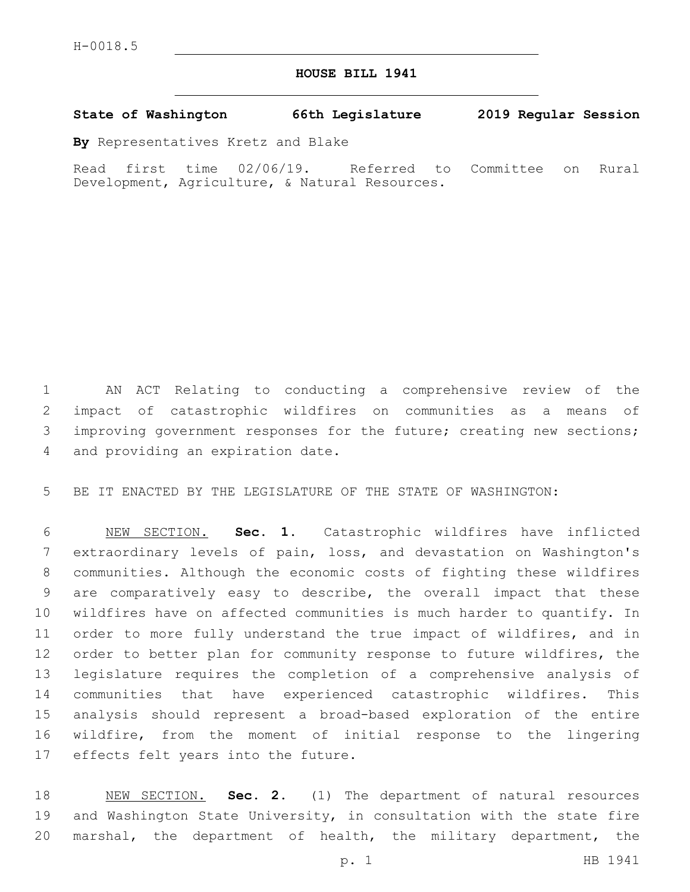## **HOUSE BILL 1941**

## **State of Washington 66th Legislature 2019 Regular Session**

**By** Representatives Kretz and Blake

Read first time 02/06/19. Referred to Committee on Rural Development, Agriculture, & Natural Resources.

 AN ACT Relating to conducting a comprehensive review of the impact of catastrophic wildfires on communities as a means of 3 improving government responses for the future; creating new sections; 4 and providing an expiration date.

BE IT ENACTED BY THE LEGISLATURE OF THE STATE OF WASHINGTON:

 NEW SECTION. **Sec. 1.** Catastrophic wildfires have inflicted extraordinary levels of pain, loss, and devastation on Washington's communities. Although the economic costs of fighting these wildfires are comparatively easy to describe, the overall impact that these wildfires have on affected communities is much harder to quantify. In order to more fully understand the true impact of wildfires, and in order to better plan for community response to future wildfires, the legislature requires the completion of a comprehensive analysis of communities that have experienced catastrophic wildfires. This analysis should represent a broad-based exploration of the entire wildfire, from the moment of initial response to the lingering effects felt years into the future.

 NEW SECTION. **Sec. 2.** (1) The department of natural resources and Washington State University, in consultation with the state fire marshal, the department of health, the military department, the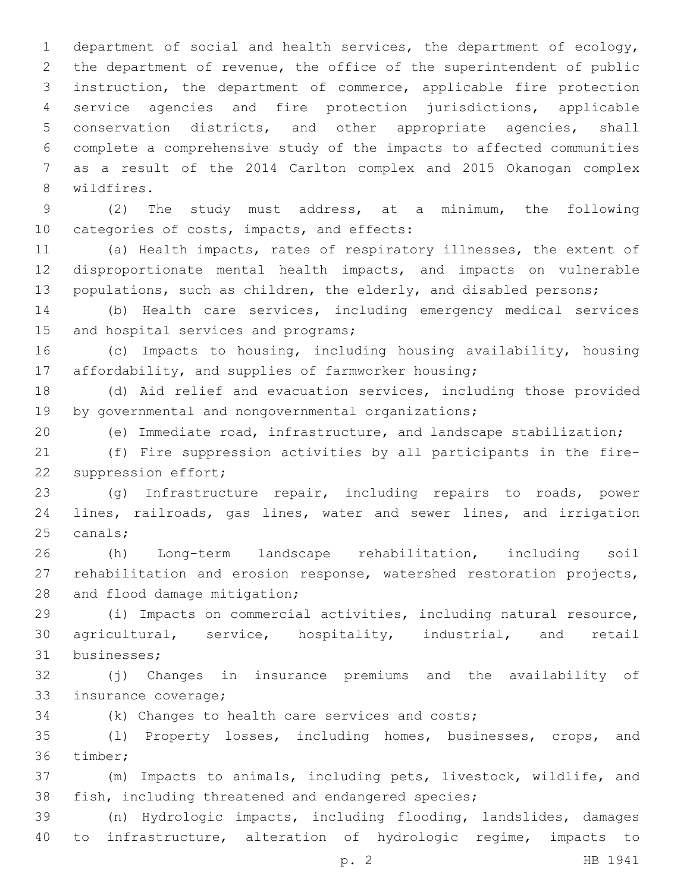department of social and health services, the department of ecology, the department of revenue, the office of the superintendent of public instruction, the department of commerce, applicable fire protection service agencies and fire protection jurisdictions, applicable conservation districts, and other appropriate agencies, shall complete a comprehensive study of the impacts to affected communities as a result of the 2014 Carlton complex and 2015 Okanogan complex 8 wildfires.

 (2) The study must address, at a minimum, the following 10 categories of costs, impacts, and effects:

 (a) Health impacts, rates of respiratory illnesses, the extent of disproportionate mental health impacts, and impacts on vulnerable 13 populations, such as children, the elderly, and disabled persons;

 (b) Health care services, including emergency medical services 15 and hospital services and programs;

 (c) Impacts to housing, including housing availability, housing affordability, and supplies of farmworker housing;

 (d) Aid relief and evacuation services, including those provided 19 by governmental and nongovernmental organizations;

(e) Immediate road, infrastructure, and landscape stabilization;

 (f) Fire suppression activities by all participants in the fire-22 suppression effort;

 (g) Infrastructure repair, including repairs to roads, power lines, railroads, gas lines, water and sewer lines, and irrigation 25 canals;

 (h) Long-term landscape rehabilitation, including soil rehabilitation and erosion response, watershed restoration projects, 28 and flood damage mitigation;

 (i) Impacts on commercial activities, including natural resource, agricultural, service, hospitality, industrial, and retail 31 businesses;

 (j) Changes in insurance premiums and the availability of 33 insurance coverage;

(k) Changes to health care services and costs;

 (l) Property losses, including homes, businesses, crops, and 36 timber;

 (m) Impacts to animals, including pets, livestock, wildlife, and fish, including threatened and endangered species;

 (n) Hydrologic impacts, including flooding, landslides, damages to infrastructure, alteration of hydrologic regime, impacts to